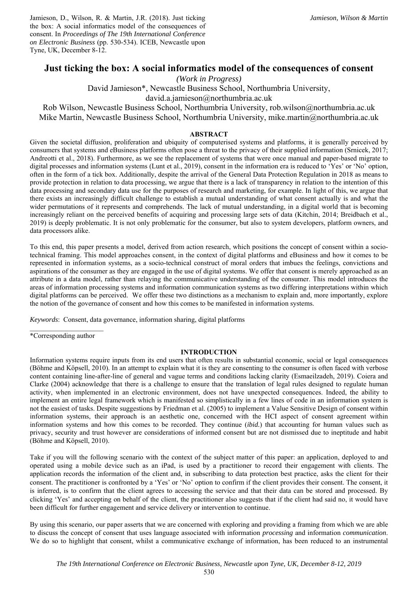Jamieson, D., Wilson, R. & Martin, J.R. (2018). Just ticking the box: A social informatics model of the consequences of consent. In *Proceedings of The 19th International Conference on Electronic Business* (pp. 530-534). ICEB, Newcastle upon Tyne, UK, December 8-12.

# **Just ticking the box: A social informatics model of the consequences of consent**

*(Work in Progress)* 

David Jamieson\*, Newcastle Business School, Northumbria University,

david.a.jamieson@northumbria.ac.uk

Rob Wilson, Newcastle Business School, Northumbria University, rob.wilson@northumbria.ac.uk Mike Martin, Newcastle Business School, Northumbria University, mike.martin@northumbria.ac.uk

# **ABSTRACT**

Given the societal diffusion, proliferation and ubiquity of computerised systems and platforms, it is generally perceived by consumers that systems and eBusiness platforms often pose a threat to the privacy of their supplied information (Srnicek, 2017; Andreotti et al., 2018). Furthermore, as we see the replacement of systems that were once manual and paper-based migrate to digital processes and information systems (Lunt et al., 2019), consent in the information era is reduced to 'Yes' or 'No' option, often in the form of a tick box. Additionally, despite the arrival of the General Data Protection Regulation in 2018 as means to provide protection in relation to data processing, we argue that there is a lack of transparency in relation to the intention of this data processing and secondary data use for the purposes of research and marketing, for example. In light of this, we argue that there exists an increasingly difficult challenge to establish a mutual understanding of what consent actually is and what the wider permutations of it represents and comprehends. The lack of mutual understanding, in a digital world that is becoming increasingly reliant on the perceived benefits of acquiring and processing large sets of data (Kitchin, 2014; Breidbach et al., 2019) is deeply problematic. It is not only problematic for the consumer, but also to system developers, platform owners, and data processors alike.

To this end, this paper presents a model, derived from action research, which positions the concept of consent within a sociotechnical framing. This model approaches consent, in the context of digital platforms and eBusiness and how it comes to be represented in information systems, as a socio-technical construct of moral orders that imbues the feelings, convictions and aspirations of the consumer as they are engaged in the use of digital systems. We offer that consent is merely approached as an attribute in a data model, rather than relaying the communicative understanding of the consumer. This model introduces the areas of information processing systems and information communication systems as two differing interpretations within which digital platforms can be perceived. We offer these two distinctions as a mechanism to explain and, more importantly, explore the notion of the governance of consent and how this comes to be manifested in information systems.

*Keywords*: Consent, data governance, information sharing, digital platforms

\*Corresponding author

#### **INTRODUCTION**

Information systems require inputs from its end users that often results in substantial economic, social or legal consequences (Böhme and Köpsell, 2010). In an attempt to explain what it is they are consenting to the consumer is often faced with verbose content containing line-after-line of general and vague terms and conditions lacking clarity (Esmaeilzadeh, 2019). Coiera and Clarke (2004) acknowledge that there is a challenge to ensure that the translation of legal rules designed to regulate human activity, when implemented in an electronic environment, does not have unexpected consequences. Indeed, the ability to implement an entire legal framework which is manifested so simplistically in a few lines of code in an information system is not the easiest of tasks. Despite suggestions by Friedman et al. (2005) to implement a Value Sensitive Design of consent within information systems, their approach is an aesthetic one, concerned with the HCI aspect of consent agreement within information systems and how this comes to be recorded. They continue (*ibid.*) that accounting for human values such as privacy, security and trust however are considerations of informed consent but are not dismissed due to ineptitude and habit (Böhme and Köpsell, 2010).

Take if you will the following scenario with the context of the subject matter of this paper: an application, deployed to and operated using a mobile device such as an iPad, is used by a practitioner to record their engagement with clients. The application records the information of the client and, in subscribing to data protection best practice, asks the client for their consent. The practitioner is confronted by a 'Yes' or 'No' option to confirm if the client provides their consent. The consent, it is inferred, is to confirm that the client agrees to accessing the service and that their data can be stored and processed. By clicking 'Yes' and accepting on behalf of the client, the practitioner also suggests that if the client had said no, it would have been difficult for further engagement and service delivery or intervention to continue.

By using this scenario, our paper asserts that we are concerned with exploring and providing a framing from which we are able to discuss the concept of consent that uses language associated with information *processing* and information *communication*. We do so to highlight that consent, whilst a communicative exchange of information, has been reduced to an instrumental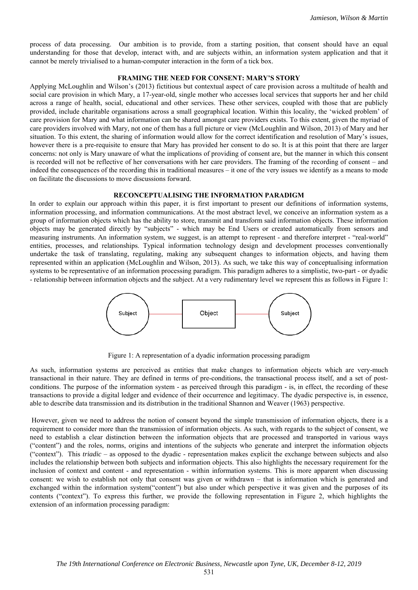process of data processing. Our ambition is to provide, from a starting position, that consent should have an equal understanding for those that develop, interact with, and are subjects within, an information system application and that it cannot be merely trivialised to a human-computer interaction in the form of a tick box.

#### **FRAMING THE NEED FOR CONSENT: MARY'S STORY**

Applying McLoughlin and Wilson's (2013) fictitious but contextual aspect of care provision across a multitude of health and social care provision in which Mary, a 17-year-old, single mother who accesses local services that supports her and her child across a range of health, social, educational and other services. These other services, coupled with those that are publicly provided, include charitable organisations across a small geographical location. Within this locality, the 'wicked problem' of care provision for Mary and what information can be shared amongst care providers exists. To this extent, given the myriad of care providers involved with Mary, not one of them has a full picture or view (McLoughlin and Wilson, 2013) of Mary and her situation. To this extent, the sharing of information would allow for the correct identification and resolution of Mary's issues, however there is a pre-requisite to ensure that Mary has provided her consent to do so. It is at this point that there are larger concerns: not only is Mary unaware of what the implications of providing of consent are, but the manner in which this consent is recorded will not be reflective of her conversations with her care providers. The framing of the recording of consent – and indeed the consequences of the recording this in traditional measures – it one of the very issues we identify as a means to mode on facilitate the discussions to move discussions forward.

## **RECONCEPTUALISING THE INFORMATION PARADIGM**

In order to explain our approach within this paper, it is first important to present our definitions of information systems, information processing, and information communications. At the most abstract level, we conceive an information system as a group of information objects which has the ability to store, transmit and transform said information objects. These information objects may be generated directly by "subjects" - which may be End Users or created automatically from sensors and measuring instruments. An information system, we suggest, is an attempt to represent - and therefore interpret - "real-world" entities, processes, and relationships. Typical information technology design and development processes conventionally undertake the task of translating, regulating, making any subsequent changes to information objects, and having them represented within an application (McLoughlin and Wilson, 2013). As such, we take this way of conceptualising information systems to be representative of an information processing paradigm. This paradigm adheres to a simplistic, two-part - or dyadic - relationship between information objects and the subject. At a very rudimentary level we represent this as follows in Figure 1:



Figure 1: A representation of a dyadic information processing paradigm

As such, information systems are perceived as entities that make changes to information objects which are very-much transactional in their nature. They are defined in terms of pre-conditions, the transactional process itself, and a set of postconditions. The purpose of the information system - as perceived through this paradigm - is, in effect, the recording of these transactions to provide a digital ledger and evidence of their occurrence and legitimacy. The dyadic perspective is, in essence, able to describe data transmission and its distribution in the traditional Shannon and Weaver (1963) perspective.

 However, given we need to address the notion of consent beyond the simple transmission of information objects, there is a requirement to consider more than the transmission of information objects. As such, with regards to the subject of consent, we need to establish a clear distinction between the information objects that are processed and transported in various ways ("content") and the roles, norms, origins and intentions of the subjects who generate and interpret the information objects ("context"). This *triadic* – as opposed to the dyadic - representation makes explicit the exchange between subjects and also includes the relationship between both subjects and information objects. This also highlights the necessary requirement for the inclusion of context and content - and representation - within information systems. This is more apparent when discussing consent: we wish to establish not only that consent was given or withdrawn – that is information which is generated and exchanged within the information system("content") but also under which perspective it was given and the purposes of its contents ("context"). To express this further, we provide the following representation in Figure 2, which highlights the extension of an information processing paradigm: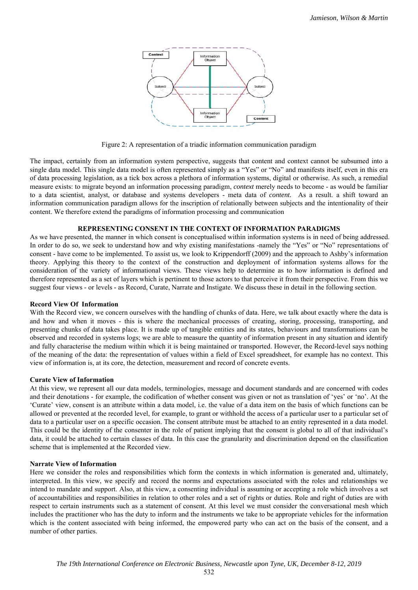

Figure 2: A representation of a triadic information communication paradigm

The impact, certainly from an information system perspective, suggests that content and context cannot be subsumed into a single data model. This single data model is often represented simply as a "Yes" or "No" and manifests itself, even in this era of data processing legislation, as a tick box across a plethora of information systems, digital or otherwise. As such, a remedial measure exists: to migrate beyond an information processing paradigm, *context* merely needs to become - as would be familiar to a data scientist, analyst, or database and systems developers - meta data of *content.* As a result. a shift toward an information communication paradigm allows for the inscription of relationally between subjects and the intentionality of their content. We therefore extend the paradigms of information processing and communication

## **REPRESENTING CONSENT IN THE CONTEXT OF INFORMATION PARADIGMS**

As we have presented, the manner in which consent is conceptualised within information systems is in need of being addressed. In order to do so, we seek to understand how and why existing manifestations -namely the "Yes" or "No" representations of consent - have come to be implemented. To assist us, we look to Krippendorff (2009) and the approach to Ashby's information theory. Applying this theory to the context of the construction and deployment of information systems allows for the consideration of the variety of informational views. These views help to determine as to how information is defined and therefore represented as a set of layers which is pertinent to those actors to that perceive it from their perspective. From this we suggest four views - or levels - as Record, Curate, Narrate and Instigate. We discuss these in detail in the following section.

#### **Record View Of Information**

With the Record view, we concern ourselves with the handling of chunks of data. Here, we talk about exactly where the data is and how and when it moves - this is where the mechanical processes of creating, storing, processing, transporting, and presenting chunks of data takes place. It is made up of tangible entities and its states, behaviours and transformations can be observed and recorded in systems logs; we are able to measure the quantity of information present in any situation and identify and fully characterise the medium within which it is being maintained or transported. However, the Record-level says nothing of the meaning of the data: the representation of values within a field of Excel spreadsheet, for example has no context. This view of information is, at its core, the detection, measurement and record of concrete events.

# **Curate View of Information**

At this view, we represent all our data models, terminologies, message and document standards and are concerned with codes and their denotations - for example, the codification of whether consent was given or not as translation of 'yes' or 'no'. At the 'Curate' view, consent is an attribute within a data model, i.e. the value of a data item on the basis of which functions can be allowed or prevented at the recorded level, for example, to grant or withhold the access of a particular user to a particular set of data to a particular user on a specific occasion. The consent attribute must be attached to an entity represented in a data model. This could be the identity of the consenter in the role of patient implying that the consent is global to all of that individual's data, it could be attached to certain classes of data. In this case the granularity and discrimination depend on the classification scheme that is implemented at the Recorded view.

#### **Narrate View of Information**

Here we consider the roles and responsibilities which form the contexts in which information is generated and, ultimately, interpreted. In this view, we specify and record the norms and expectations associated with the roles and relationships we intend to mandate and support. Also, at this view, a consenting individual is assuming or accepting a role which involves a set of accountabilities and responsibilities in relation to other roles and a set of rights or duties. Role and right of duties are with respect to certain instruments such as a statement of consent. At this level we must consider the conversational mesh which includes the practitioner who has the duty to inform and the instruments we take to be appropriate vehicles for the information which is the content associated with being informed, the empowered party who can act on the basis of the consent, and a number of other parties.

532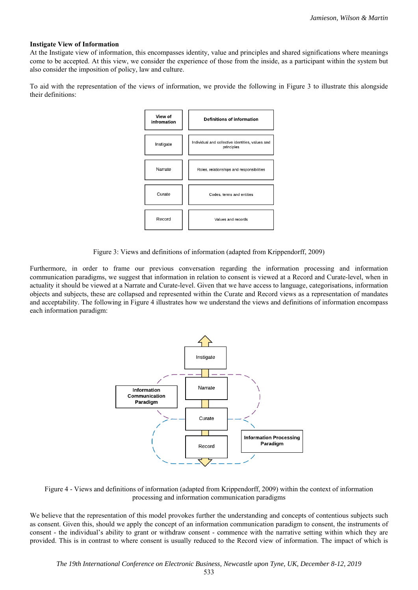## **Instigate View of Information**

At the Instigate view of information, this encompasses identity, value and principles and shared significations where meanings come to be accepted. At this view, we consider the experience of those from the inside, as a participant within the system but also consider the imposition of policy, law and culture.

To aid with the representation of the views of information, we provide the following in Figure 3 to illustrate this alongside their definitions:



Figure 3: Views and definitions of information (adapted from Krippendorff, 2009)

Furthermore, in order to frame our previous conversation regarding the information processing and information communication paradigms, we suggest that information in relation to consent is viewed at a Record and Curate-level, when in actuality it should be viewed at a Narrate and Curate-level. Given that we have access to language, categorisations, information objects and subjects, these are collapsed and represented within the Curate and Record views as a representation of mandates and acceptability. The following in Figure 4 illustrates how we understand the views and definitions of information encompass each information paradigm:



Figure 4 - Views and definitions of information (adapted from Krippendorff, 2009) within the context of information processing and information communication paradigms

We believe that the representation of this model provokes further the understanding and concepts of contentious subjects such as consent. Given this, should we apply the concept of an information communication paradigm to consent, the instruments of consent - the individual's ability to grant or withdraw consent - commence with the narrative setting within which they are provided. This is in contrast to where consent is usually reduced to the Record view of information. The impact of which is